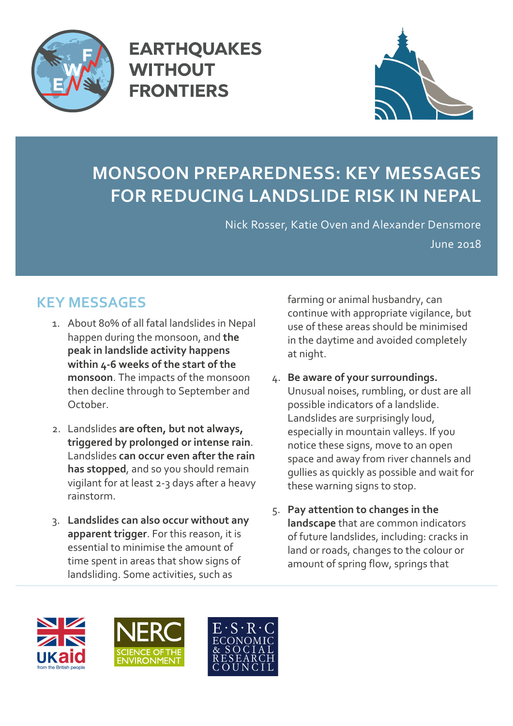

**EARTHQUAKES WITHOUT FRONTIERS** 



## **MONSOON PREPAREDNESS: KEY MESSAGES FOR REDUCING LANDSLIDE RISK IN NEPAL**

Nick Rosser, Katie Oven and Alexander Densmore June 2018

## **KEY MESSAGES**

- 1. About 80% of all fatal landslides in Nepal happen during the monsoon, and **the peak in landslide activity happens within 4-6 weeks of the start of the monsoon**. The impacts of the monsoon then decline through to September and October.
- 2. Landslides **are often, but not always, triggered by prolonged or intense rain**. Landslides **can occur even after the rain has stopped**, and so you should remain vigilant for at least 2-3 days after a heavy rainstorm.
- 3. **Landslides can also occur without any apparent trigger**. For this reason, it is essential to minimise the amount of time spent in areas that show signs of landsliding. Some activities, such as

farming or animal husbandry, can continue with appropriate vigilance, but use of these areas should be minimised in the daytime and avoided completely at night.

- 4. **Be aware of your surroundings.** Unusual noises, rumbling, or dust are all possible indicators of a landslide. Landslides are surprisingly loud, especially in mountain valleys. If you notice these signs, move to an open space and away from river channels and gullies as quickly as possible and wait for these warning signs to stop.
- 5. **Pay attention to changes in the landscape** that are common indicators of future landslides, including: cracks in land or roads, changes to the colour or amount of spring flow, springs that